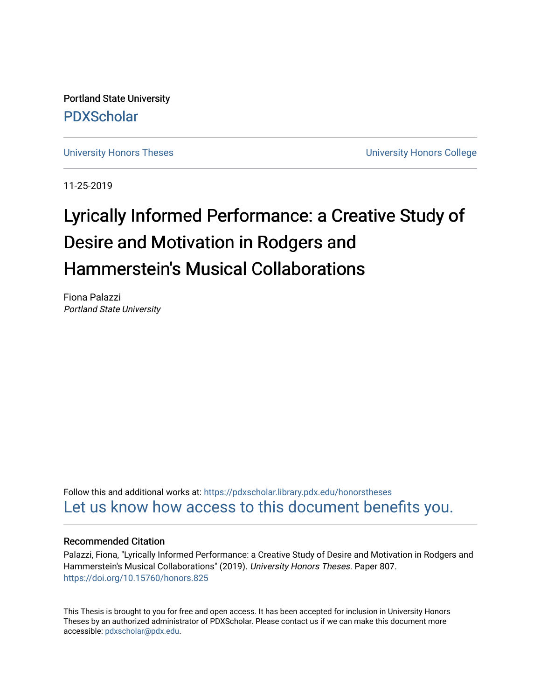Portland State University [PDXScholar](https://pdxscholar.library.pdx.edu/)

[University Honors Theses](https://pdxscholar.library.pdx.edu/honorstheses) **University Honors College** 

11-25-2019

# Lyrically Informed Performance: a Creative Study of Desire and Motivation in Rodgers and Hammerstein's Musical Collaborations

Fiona Palazzi Portland State University

Follow this and additional works at: [https://pdxscholar.library.pdx.edu/honorstheses](https://pdxscholar.library.pdx.edu/honorstheses?utm_source=pdxscholar.library.pdx.edu%2Fhonorstheses%2F807&utm_medium=PDF&utm_campaign=PDFCoverPages)  [Let us know how access to this document benefits you.](http://library.pdx.edu/services/pdxscholar-services/pdxscholar-feedback/) 

#### Recommended Citation

Palazzi, Fiona, "Lyrically Informed Performance: a Creative Study of Desire and Motivation in Rodgers and Hammerstein's Musical Collaborations" (2019). University Honors Theses. Paper 807. <https://doi.org/10.15760/honors.825>

This Thesis is brought to you for free and open access. It has been accepted for inclusion in University Honors Theses by an authorized administrator of PDXScholar. Please contact us if we can make this document more accessible: [pdxscholar@pdx.edu.](mailto:pdxscholar@pdx.edu)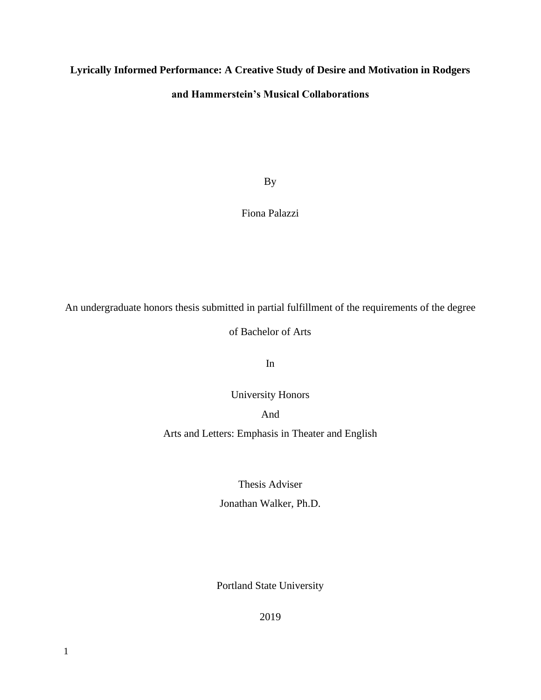# **Lyrically Informed Performance: A Creative Study of Desire and Motivation in Rodgers**

## **and Hammerstein's Musical Collaborations**

By

### Fiona Palazzi

An undergraduate honors thesis submitted in partial fulfillment of the requirements of the degree

of Bachelor of Arts

In

University Honors

And

Arts and Letters: Emphasis in Theater and English

Thesis Adviser

Jonathan Walker, Ph.D.

Portland State University

2019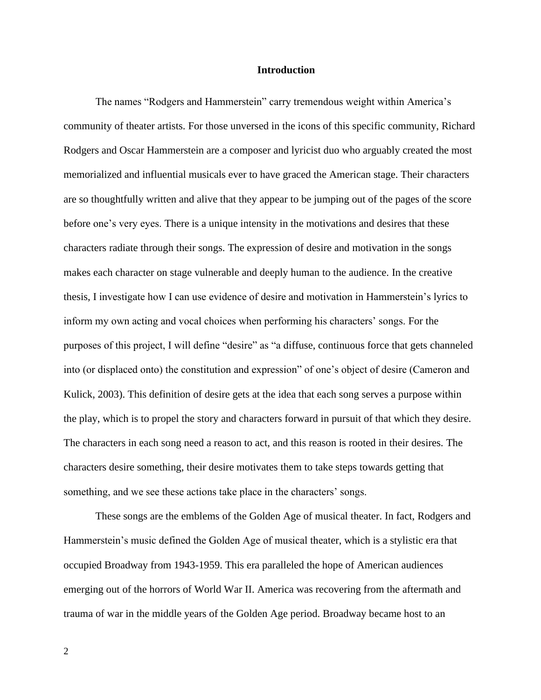#### **Introduction**

The names "Rodgers and Hammerstein" carry tremendous weight within America's community of theater artists. For those unversed in the icons of this specific community, Richard Rodgers and Oscar Hammerstein are a composer and lyricist duo who arguably created the most memorialized and influential musicals ever to have graced the American stage. Their characters are so thoughtfully written and alive that they appear to be jumping out of the pages of the score before one's very eyes. There is a unique intensity in the motivations and desires that these characters radiate through their songs. The expression of desire and motivation in the songs makes each character on stage vulnerable and deeply human to the audience. In the creative thesis, I investigate how I can use evidence of desire and motivation in Hammerstein's lyrics to inform my own acting and vocal choices when performing his characters' songs. For the purposes of this project, I will define "desire" as "a diffuse, continuous force that gets channeled into (or displaced onto) the constitution and expression" of one's object of desire (Cameron and Kulick, 2003). This definition of desire gets at the idea that each song serves a purpose within the play, which is to propel the story and characters forward in pursuit of that which they desire. The characters in each song need a reason to act, and this reason is rooted in their desires. The characters desire something, their desire motivates them to take steps towards getting that something, and we see these actions take place in the characters' songs.

These songs are the emblems of the Golden Age of musical theater. In fact, Rodgers and Hammerstein's music defined the Golden Age of musical theater, which is a stylistic era that occupied Broadway from 1943-1959. This era paralleled the hope of American audiences emerging out of the horrors of World War II. America was recovering from the aftermath and trauma of war in the middle years of the Golden Age period. Broadway became host to an

2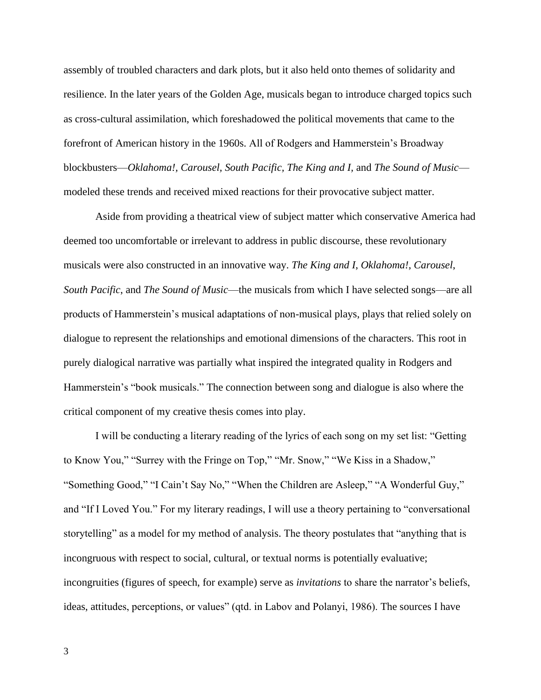assembly of troubled characters and dark plots, but it also held onto themes of solidarity and resilience. In the later years of the Golden Age, musicals began to introduce charged topics such as cross-cultural assimilation, which foreshadowed the political movements that came to the forefront of American history in the 1960s. All of Rodgers and Hammerstein's Broadway blockbusters—*Oklahoma!, Carousel, South Pacific, The King and I,* and *The Sound of Music* modeled these trends and received mixed reactions for their provocative subject matter.

Aside from providing a theatrical view of subject matter which conservative America had deemed too uncomfortable or irrelevant to address in public discourse, these revolutionary musicals were also constructed in an innovative way. *The King and I*, *Oklahoma!*, *Carousel*, *South Pacific*, and *The Sound of Music*—the musicals from which I have selected songs—are all products of Hammerstein's musical adaptations of non-musical plays, plays that relied solely on dialogue to represent the relationships and emotional dimensions of the characters. This root in purely dialogical narrative was partially what inspired the integrated quality in Rodgers and Hammerstein's "book musicals." The connection between song and dialogue is also where the critical component of my creative thesis comes into play.

I will be conducting a literary reading of the lyrics of each song on my set list: "Getting to Know You," "Surrey with the Fringe on Top," "Mr. Snow," "We Kiss in a Shadow," "Something Good," "I Cain't Say No," "When the Children are Asleep," "A Wonderful Guy," and "If I Loved You." For my literary readings, I will use a theory pertaining to "conversational storytelling" as a model for my method of analysis. The theory postulates that "anything that is incongruous with respect to social, cultural, or textual norms is potentially evaluative; incongruities (figures of speech, for example) serve as *invitations* to share the narrator's beliefs, ideas, attitudes, perceptions, or values" (qtd. in Labov and Polanyi, 1986). The sources I have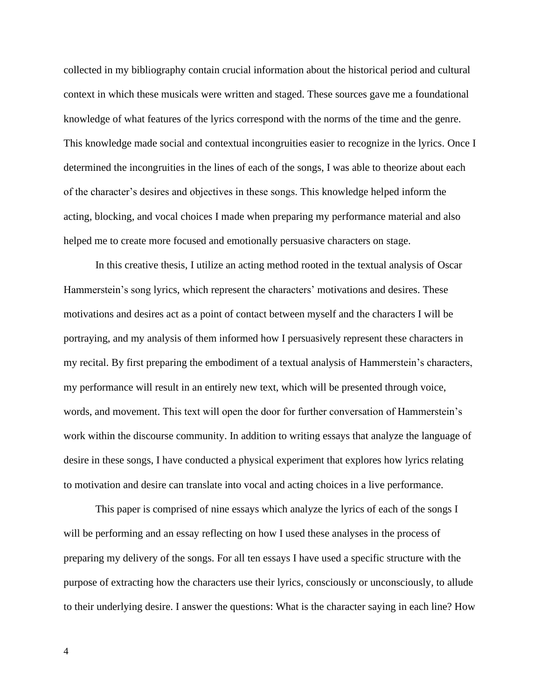collected in my bibliography contain crucial information about the historical period and cultural context in which these musicals were written and staged. These sources gave me a foundational knowledge of what features of the lyrics correspond with the norms of the time and the genre. This knowledge made social and contextual incongruities easier to recognize in the lyrics. Once I determined the incongruities in the lines of each of the songs, I was able to theorize about each of the character's desires and objectives in these songs. This knowledge helped inform the acting, blocking, and vocal choices I made when preparing my performance material and also helped me to create more focused and emotionally persuasive characters on stage.

In this creative thesis, I utilize an acting method rooted in the textual analysis of Oscar Hammerstein's song lyrics, which represent the characters' motivations and desires. These motivations and desires act as a point of contact between myself and the characters I will be portraying, and my analysis of them informed how I persuasively represent these characters in my recital. By first preparing the embodiment of a textual analysis of Hammerstein's characters, my performance will result in an entirely new text, which will be presented through voice, words, and movement. This text will open the door for further conversation of Hammerstein's work within the discourse community. In addition to writing essays that analyze the language of desire in these songs, I have conducted a physical experiment that explores how lyrics relating to motivation and desire can translate into vocal and acting choices in a live performance.

This paper is comprised of nine essays which analyze the lyrics of each of the songs I will be performing and an essay reflecting on how I used these analyses in the process of preparing my delivery of the songs. For all ten essays I have used a specific structure with the purpose of extracting how the characters use their lyrics, consciously or unconsciously, to allude to their underlying desire. I answer the questions: What is the character saying in each line? How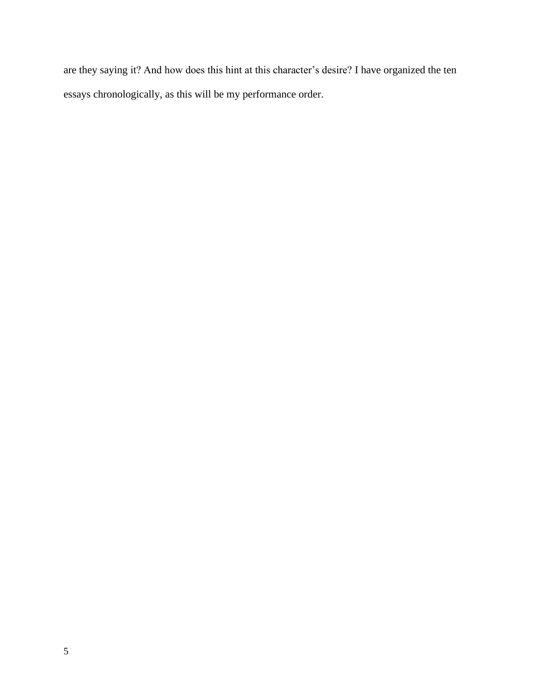are they saying it? And how does this hint at this character's desire? I have organized the ten essays chronologically, as this will be my performance order.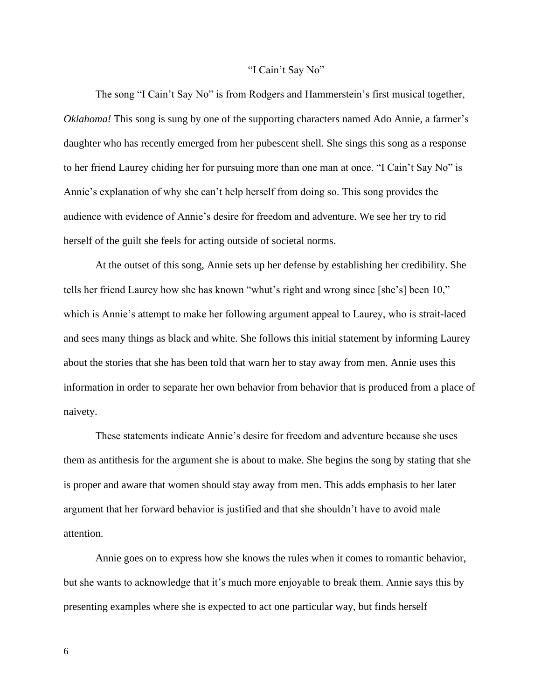#### "I Cain't Say No"

The song "I Cain't Say No" is from Rodgers and Hammerstein's first musical together, *Oklahoma!* This song is sung by one of the supporting characters named Ado Annie, a farmer's daughter who has recently emerged from her pubescent shell. She sings this song as a response to her friend Laurey chiding her for pursuing more than one man at once. "I Cain't Say No" is Annie's explanation of why she can't help herself from doing so. This song provides the audience with evidence of Annie's desire for freedom and adventure. We see her try to rid herself of the guilt she feels for acting outside of societal norms.

At the outset of this song, Annie sets up her defense by establishing her credibility. She tells her friend Laurey how she has known "whut's right and wrong since [she's] been 10," which is Annie's attempt to make her following argument appeal to Laurey, who is strait-laced and sees many things as black and white. She follows this initial statement by informing Laurey about the stories that she has been told that warn her to stay away from men. Annie uses this information in order to separate her own behavior from behavior that is produced from a place of naivety.

These statements indicate Annie's desire for freedom and adventure because she uses them as antithesis for the argument she is about to make. She begins the song by stating that she is proper and aware that women should stay away from men. This adds emphasis to her later argument that her forward behavior is justified and that she shouldn't have to avoid male attention.

Annie goes on to express how she knows the rules when it comes to romantic behavior, but she wants to acknowledge that it's much more enjoyable to break them. Annie says this by presenting examples where she is expected to act one particular way, but finds herself

6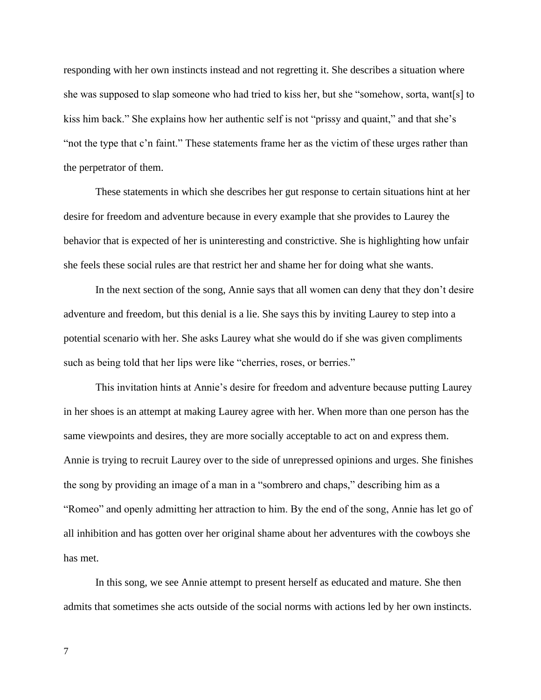responding with her own instincts instead and not regretting it. She describes a situation where she was supposed to slap someone who had tried to kiss her, but she "somehow, sorta, want[s] to kiss him back." She explains how her authentic self is not "prissy and quaint," and that she's "not the type that c'n faint." These statements frame her as the victim of these urges rather than the perpetrator of them.

These statements in which she describes her gut response to certain situations hint at her desire for freedom and adventure because in every example that she provides to Laurey the behavior that is expected of her is uninteresting and constrictive. She is highlighting how unfair she feels these social rules are that restrict her and shame her for doing what she wants.

In the next section of the song, Annie says that all women can deny that they don't desire adventure and freedom, but this denial is a lie. She says this by inviting Laurey to step into a potential scenario with her. She asks Laurey what she would do if she was given compliments such as being told that her lips were like "cherries, roses, or berries."

This invitation hints at Annie's desire for freedom and adventure because putting Laurey in her shoes is an attempt at making Laurey agree with her. When more than one person has the same viewpoints and desires, they are more socially acceptable to act on and express them. Annie is trying to recruit Laurey over to the side of unrepressed opinions and urges. She finishes the song by providing an image of a man in a "sombrero and chaps," describing him as a "Romeo" and openly admitting her attraction to him. By the end of the song, Annie has let go of all inhibition and has gotten over her original shame about her adventures with the cowboys she has met.

In this song, we see Annie attempt to present herself as educated and mature. She then admits that sometimes she acts outside of the social norms with actions led by her own instincts.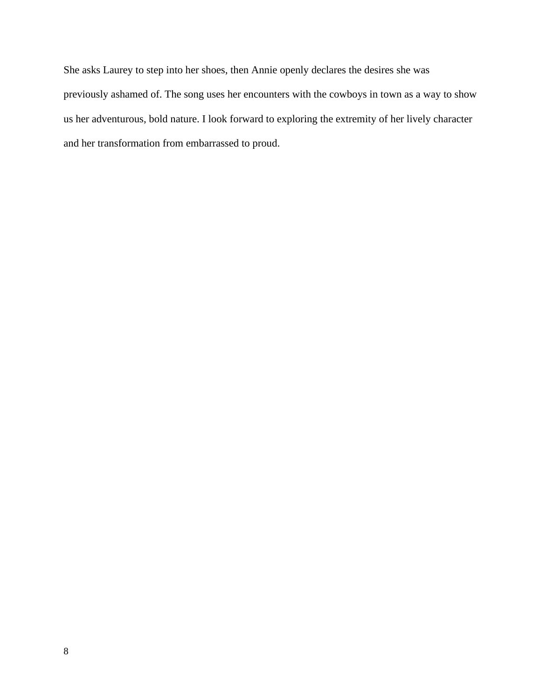She asks Laurey to step into her shoes, then Annie openly declares the desires she was previously ashamed of. The song uses her encounters with the cowboys in town as a way to show us her adventurous, bold nature. I look forward to exploring the extremity of her lively character and her transformation from embarrassed to proud.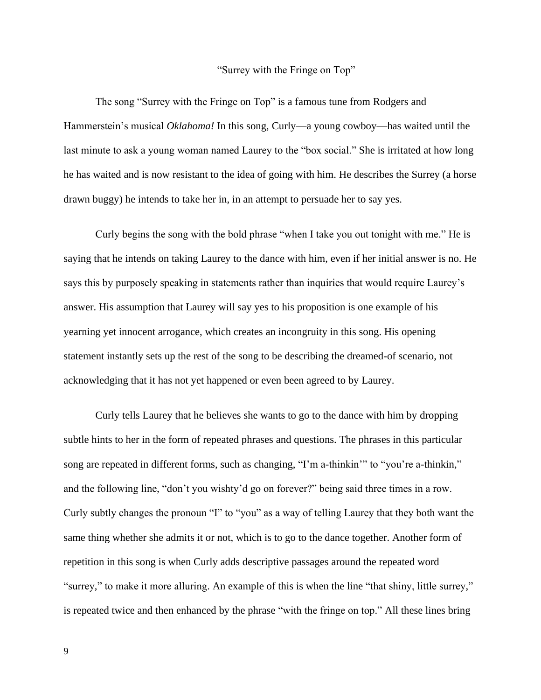#### "Surrey with the Fringe on Top"

The song "Surrey with the Fringe on Top" is a famous tune from Rodgers and Hammerstein's musical *Oklahoma!* In this song, Curly—a young cowboy—has waited until the last minute to ask a young woman named Laurey to the "box social." She is irritated at how long he has waited and is now resistant to the idea of going with him. He describes the Surrey (a horse drawn buggy) he intends to take her in, in an attempt to persuade her to say yes.

Curly begins the song with the bold phrase "when I take you out tonight with me." He is saying that he intends on taking Laurey to the dance with him, even if her initial answer is no. He says this by purposely speaking in statements rather than inquiries that would require Laurey's answer. His assumption that Laurey will say yes to his proposition is one example of his yearning yet innocent arrogance, which creates an incongruity in this song. His opening statement instantly sets up the rest of the song to be describing the dreamed-of scenario, not acknowledging that it has not yet happened or even been agreed to by Laurey.

Curly tells Laurey that he believes she wants to go to the dance with him by dropping subtle hints to her in the form of repeated phrases and questions. The phrases in this particular song are repeated in different forms, such as changing, "I'm a-thinkin'" to "you're a-thinkin," and the following line, "don't you wishty'd go on forever?" being said three times in a row. Curly subtly changes the pronoun "I" to "you" as a way of telling Laurey that they both want the same thing whether she admits it or not, which is to go to the dance together. Another form of repetition in this song is when Curly adds descriptive passages around the repeated word "surrey," to make it more alluring. An example of this is when the line "that shiny, little surrey," is repeated twice and then enhanced by the phrase "with the fringe on top." All these lines bring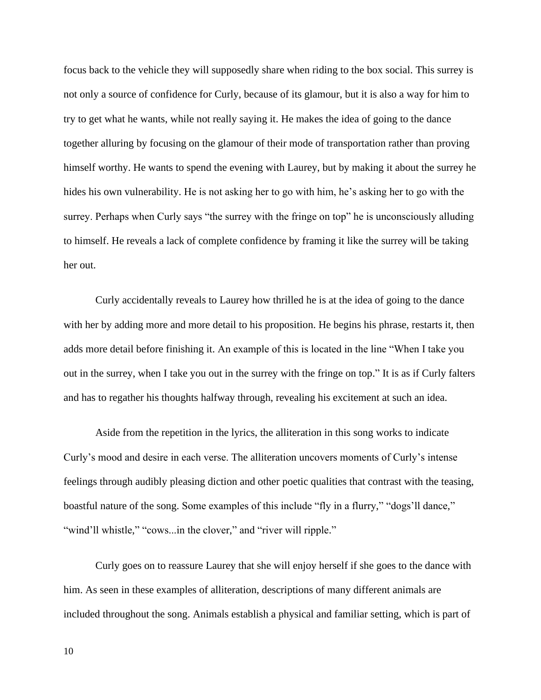focus back to the vehicle they will supposedly share when riding to the box social. This surrey is not only a source of confidence for Curly, because of its glamour, but it is also a way for him to try to get what he wants, while not really saying it. He makes the idea of going to the dance together alluring by focusing on the glamour of their mode of transportation rather than proving himself worthy. He wants to spend the evening with Laurey, but by making it about the surrey he hides his own vulnerability. He is not asking her to go with him, he's asking her to go with the surrey. Perhaps when Curly says "the surrey with the fringe on top" he is unconsciously alluding to himself. He reveals a lack of complete confidence by framing it like the surrey will be taking her out.

Curly accidentally reveals to Laurey how thrilled he is at the idea of going to the dance with her by adding more and more detail to his proposition. He begins his phrase, restarts it, then adds more detail before finishing it. An example of this is located in the line "When I take you out in the surrey, when I take you out in the surrey with the fringe on top." It is as if Curly falters and has to regather his thoughts halfway through, revealing his excitement at such an idea.

Aside from the repetition in the lyrics, the alliteration in this song works to indicate Curly's mood and desire in each verse. The alliteration uncovers moments of Curly's intense feelings through audibly pleasing diction and other poetic qualities that contrast with the teasing, boastful nature of the song. Some examples of this include "fly in a flurry," "dogs'll dance," "wind'll whistle," "cows...in the clover," and "river will ripple."

Curly goes on to reassure Laurey that she will enjoy herself if she goes to the dance with him. As seen in these examples of alliteration, descriptions of many different animals are included throughout the song. Animals establish a physical and familiar setting, which is part of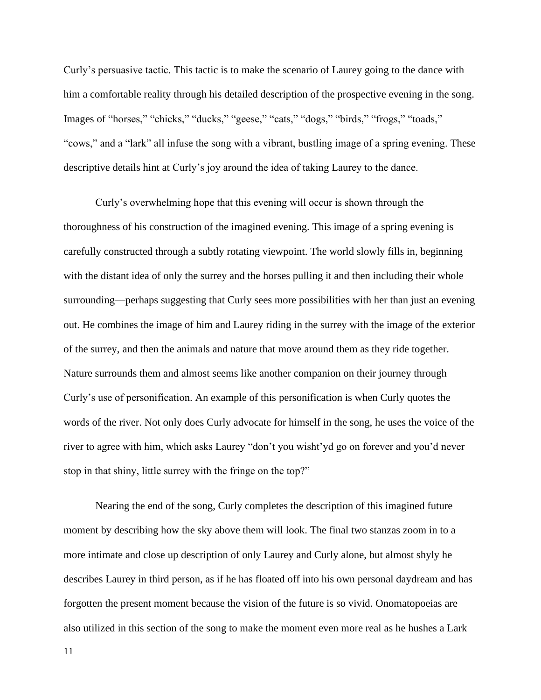Curly's persuasive tactic. This tactic is to make the scenario of Laurey going to the dance with him a comfortable reality through his detailed description of the prospective evening in the song. Images of "horses," "chicks," "ducks," "geese," "cats," "dogs," "birds," "frogs," "toads," "cows," and a "lark" all infuse the song with a vibrant, bustling image of a spring evening. These descriptive details hint at Curly's joy around the idea of taking Laurey to the dance.

Curly's overwhelming hope that this evening will occur is shown through the thoroughness of his construction of the imagined evening. This image of a spring evening is carefully constructed through a subtly rotating viewpoint. The world slowly fills in, beginning with the distant idea of only the surrey and the horses pulling it and then including their whole surrounding—perhaps suggesting that Curly sees more possibilities with her than just an evening out. He combines the image of him and Laurey riding in the surrey with the image of the exterior of the surrey, and then the animals and nature that move around them as they ride together. Nature surrounds them and almost seems like another companion on their journey through Curly's use of personification. An example of this personification is when Curly quotes the words of the river. Not only does Curly advocate for himself in the song, he uses the voice of the river to agree with him, which asks Laurey "don't you wisht'yd go on forever and you'd never stop in that shiny, little surrey with the fringe on the top?"

Nearing the end of the song, Curly completes the description of this imagined future moment by describing how the sky above them will look. The final two stanzas zoom in to a more intimate and close up description of only Laurey and Curly alone, but almost shyly he describes Laurey in third person, as if he has floated off into his own personal daydream and has forgotten the present moment because the vision of the future is so vivid. Onomatopoeias are also utilized in this section of the song to make the moment even more real as he hushes a Lark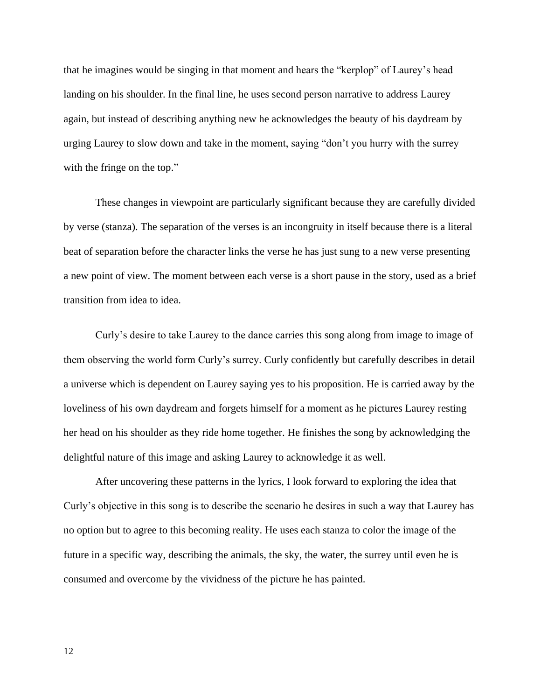that he imagines would be singing in that moment and hears the "kerplop" of Laurey's head landing on his shoulder. In the final line, he uses second person narrative to address Laurey again, but instead of describing anything new he acknowledges the beauty of his daydream by urging Laurey to slow down and take in the moment, saying "don't you hurry with the surrey with the fringe on the top."

These changes in viewpoint are particularly significant because they are carefully divided by verse (stanza). The separation of the verses is an incongruity in itself because there is a literal beat of separation before the character links the verse he has just sung to a new verse presenting a new point of view. The moment between each verse is a short pause in the story, used as a brief transition from idea to idea.

Curly's desire to take Laurey to the dance carries this song along from image to image of them observing the world form Curly's surrey. Curly confidently but carefully describes in detail a universe which is dependent on Laurey saying yes to his proposition. He is carried away by the loveliness of his own daydream and forgets himself for a moment as he pictures Laurey resting her head on his shoulder as they ride home together. He finishes the song by acknowledging the delightful nature of this image and asking Laurey to acknowledge it as well.

After uncovering these patterns in the lyrics, I look forward to exploring the idea that Curly's objective in this song is to describe the scenario he desires in such a way that Laurey has no option but to agree to this becoming reality. He uses each stanza to color the image of the future in a specific way, describing the animals, the sky, the water, the surrey until even he is consumed and overcome by the vividness of the picture he has painted.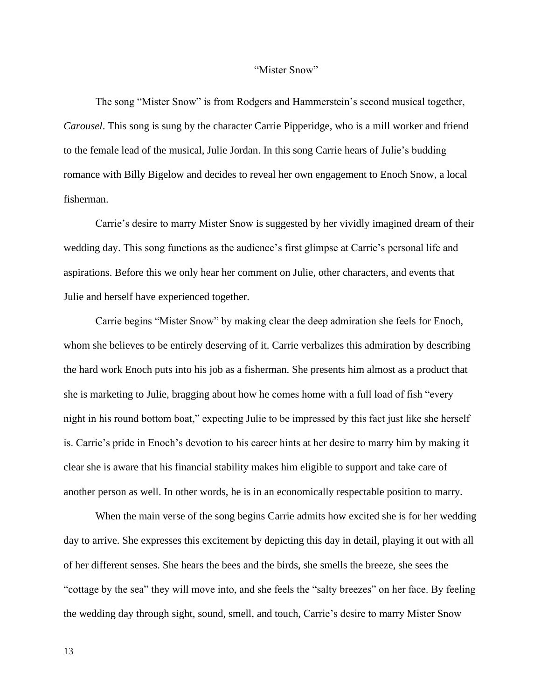#### "Mister Snow"

The song "Mister Snow" is from Rodgers and Hammerstein's second musical together, *Carousel*. This song is sung by the character Carrie Pipperidge, who is a mill worker and friend to the female lead of the musical, Julie Jordan. In this song Carrie hears of Julie's budding romance with Billy Bigelow and decides to reveal her own engagement to Enoch Snow, a local fisherman.

Carrie's desire to marry Mister Snow is suggested by her vividly imagined dream of their wedding day. This song functions as the audience's first glimpse at Carrie's personal life and aspirations. Before this we only hear her comment on Julie, other characters, and events that Julie and herself have experienced together.

Carrie begins "Mister Snow" by making clear the deep admiration she feels for Enoch, whom she believes to be entirely deserving of it. Carrie verbalizes this admiration by describing the hard work Enoch puts into his job as a fisherman. She presents him almost as a product that she is marketing to Julie, bragging about how he comes home with a full load of fish "every night in his round bottom boat," expecting Julie to be impressed by this fact just like she herself is. Carrie's pride in Enoch's devotion to his career hints at her desire to marry him by making it clear she is aware that his financial stability makes him eligible to support and take care of another person as well. In other words, he is in an economically respectable position to marry.

When the main verse of the song begins Carrie admits how excited she is for her wedding day to arrive. She expresses this excitement by depicting this day in detail, playing it out with all of her different senses. She hears the bees and the birds, she smells the breeze, she sees the "cottage by the sea" they will move into, and she feels the "salty breezes" on her face. By feeling the wedding day through sight, sound, smell, and touch, Carrie's desire to marry Mister Snow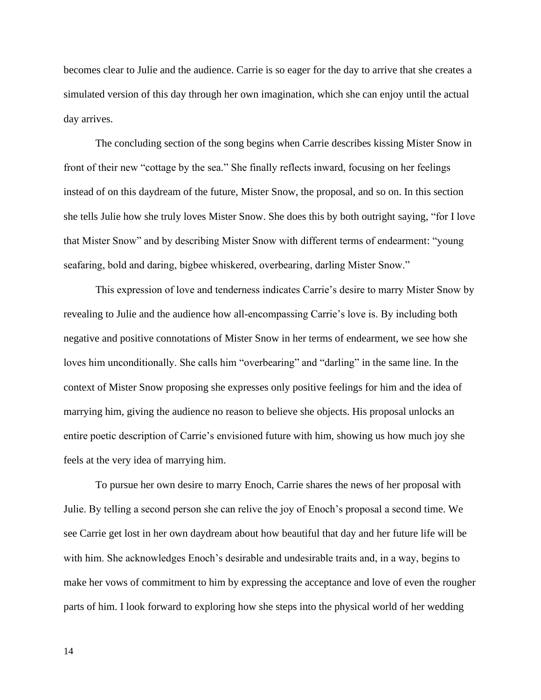becomes clear to Julie and the audience. Carrie is so eager for the day to arrive that she creates a simulated version of this day through her own imagination, which she can enjoy until the actual day arrives.

The concluding section of the song begins when Carrie describes kissing Mister Snow in front of their new "cottage by the sea." She finally reflects inward, focusing on her feelings instead of on this daydream of the future, Mister Snow, the proposal, and so on. In this section she tells Julie how she truly loves Mister Snow. She does this by both outright saying, "for I love that Mister Snow" and by describing Mister Snow with different terms of endearment: "young seafaring, bold and daring, bigbee whiskered, overbearing, darling Mister Snow."

This expression of love and tenderness indicates Carrie's desire to marry Mister Snow by revealing to Julie and the audience how all-encompassing Carrie's love is. By including both negative and positive connotations of Mister Snow in her terms of endearment, we see how she loves him unconditionally. She calls him "overbearing" and "darling" in the same line. In the context of Mister Snow proposing she expresses only positive feelings for him and the idea of marrying him, giving the audience no reason to believe she objects. His proposal unlocks an entire poetic description of Carrie's envisioned future with him, showing us how much joy she feels at the very idea of marrying him.

To pursue her own desire to marry Enoch, Carrie shares the news of her proposal with Julie. By telling a second person she can relive the joy of Enoch's proposal a second time. We see Carrie get lost in her own daydream about how beautiful that day and her future life will be with him. She acknowledges Enoch's desirable and undesirable traits and, in a way, begins to make her vows of commitment to him by expressing the acceptance and love of even the rougher parts of him. I look forward to exploring how she steps into the physical world of her wedding

14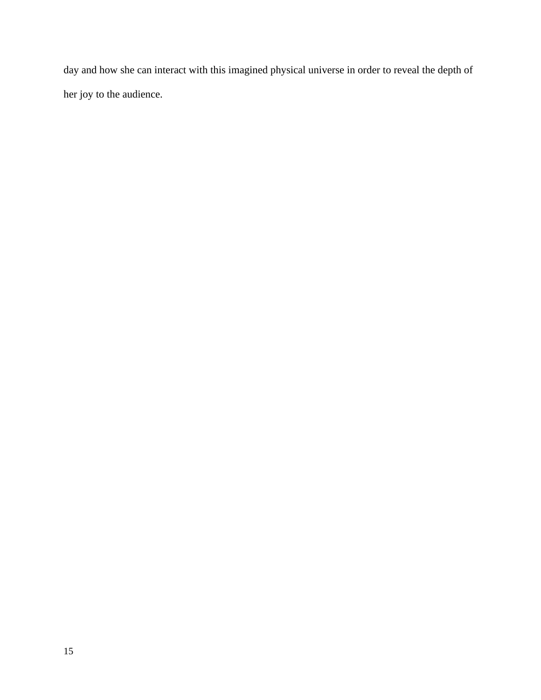day and how she can interact with this imagined physical universe in order to reveal the depth of her joy to the audience.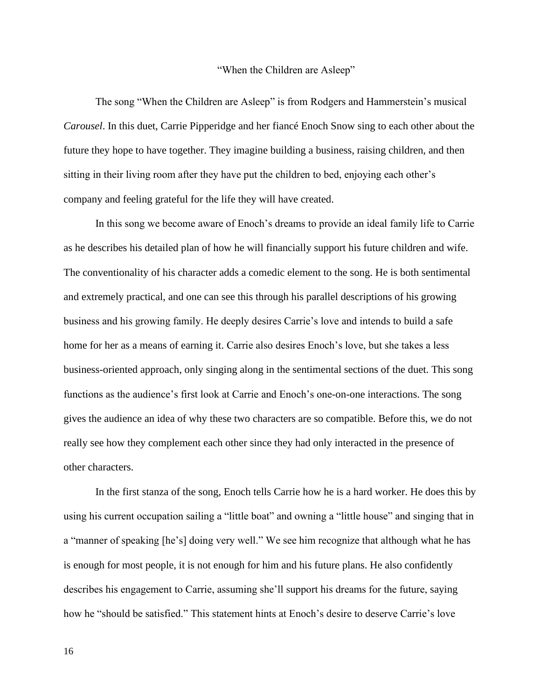#### "When the Children are Asleep"

The song "When the Children are Asleep" is from Rodgers and Hammerstein's musical *Carousel*. In this duet, Carrie Pipperidge and her fiancé Enoch Snow sing to each other about the future they hope to have together. They imagine building a business, raising children, and then sitting in their living room after they have put the children to bed, enjoying each other's company and feeling grateful for the life they will have created.

In this song we become aware of Enoch's dreams to provide an ideal family life to Carrie as he describes his detailed plan of how he will financially support his future children and wife. The conventionality of his character adds a comedic element to the song. He is both sentimental and extremely practical, and one can see this through his parallel descriptions of his growing business and his growing family. He deeply desires Carrie's love and intends to build a safe home for her as a means of earning it. Carrie also desires Enoch's love, but she takes a less business-oriented approach, only singing along in the sentimental sections of the duet. This song functions as the audience's first look at Carrie and Enoch's one-on-one interactions. The song gives the audience an idea of why these two characters are so compatible. Before this, we do not really see how they complement each other since they had only interacted in the presence of other characters.

In the first stanza of the song, Enoch tells Carrie how he is a hard worker. He does this by using his current occupation sailing a "little boat" and owning a "little house" and singing that in a "manner of speaking [he's] doing very well." We see him recognize that although what he has is enough for most people, it is not enough for him and his future plans. He also confidently describes his engagement to Carrie, assuming she'll support his dreams for the future, saying how he "should be satisfied." This statement hints at Enoch's desire to deserve Carrie's love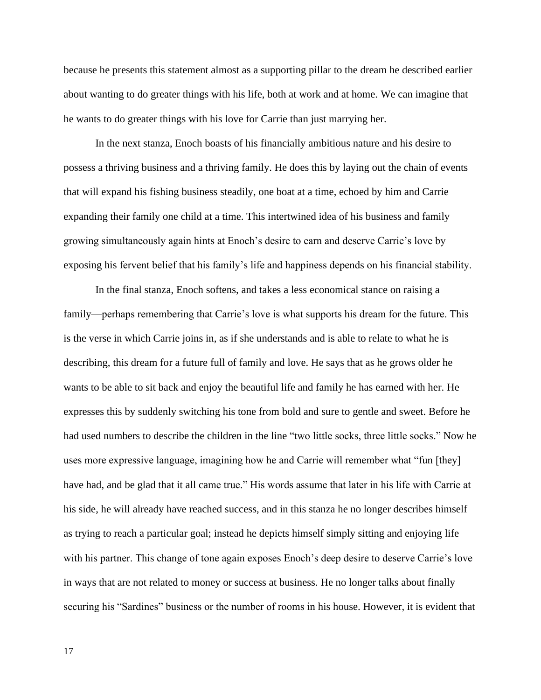because he presents this statement almost as a supporting pillar to the dream he described earlier about wanting to do greater things with his life, both at work and at home. We can imagine that he wants to do greater things with his love for Carrie than just marrying her.

In the next stanza, Enoch boasts of his financially ambitious nature and his desire to possess a thriving business and a thriving family. He does this by laying out the chain of events that will expand his fishing business steadily, one boat at a time, echoed by him and Carrie expanding their family one child at a time. This intertwined idea of his business and family growing simultaneously again hints at Enoch's desire to earn and deserve Carrie's love by exposing his fervent belief that his family's life and happiness depends on his financial stability.

In the final stanza, Enoch softens, and takes a less economical stance on raising a family—perhaps remembering that Carrie's love is what supports his dream for the future. This is the verse in which Carrie joins in, as if she understands and is able to relate to what he is describing, this dream for a future full of family and love. He says that as he grows older he wants to be able to sit back and enjoy the beautiful life and family he has earned with her. He expresses this by suddenly switching his tone from bold and sure to gentle and sweet. Before he had used numbers to describe the children in the line "two little socks, three little socks." Now he uses more expressive language, imagining how he and Carrie will remember what "fun [they] have had, and be glad that it all came true." His words assume that later in his life with Carrie at his side, he will already have reached success, and in this stanza he no longer describes himself as trying to reach a particular goal; instead he depicts himself simply sitting and enjoying life with his partner. This change of tone again exposes Enoch's deep desire to deserve Carrie's love in ways that are not related to money or success at business. He no longer talks about finally securing his "Sardines" business or the number of rooms in his house. However, it is evident that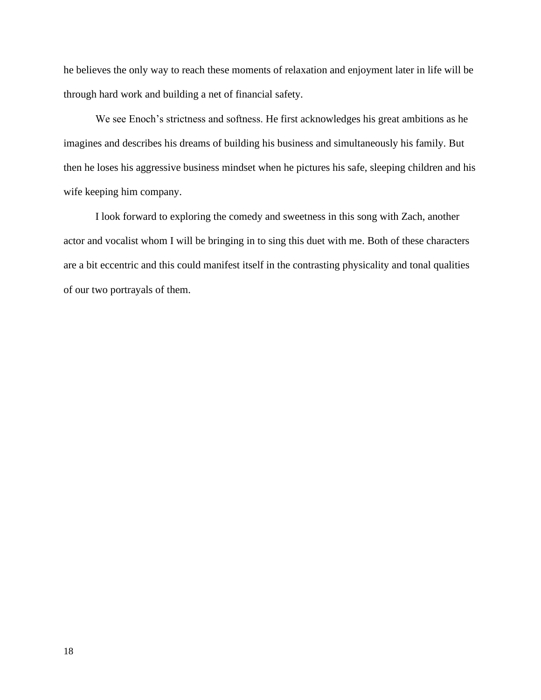he believes the only way to reach these moments of relaxation and enjoyment later in life will be through hard work and building a net of financial safety.

We see Enoch's strictness and softness. He first acknowledges his great ambitions as he imagines and describes his dreams of building his business and simultaneously his family. But then he loses his aggressive business mindset when he pictures his safe, sleeping children and his wife keeping him company.

I look forward to exploring the comedy and sweetness in this song with Zach, another actor and vocalist whom I will be bringing in to sing this duet with me. Both of these characters are a bit eccentric and this could manifest itself in the contrasting physicality and tonal qualities of our two portrayals of them.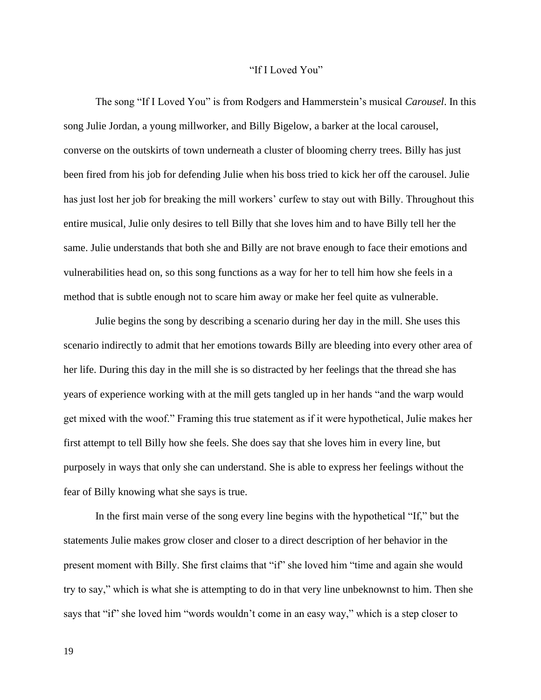#### "If I Loved You"

The song "If I Loved You" is from Rodgers and Hammerstein's musical *Carousel*. In this song Julie Jordan, a young millworker, and Billy Bigelow, a barker at the local carousel, converse on the outskirts of town underneath a cluster of blooming cherry trees. Billy has just been fired from his job for defending Julie when his boss tried to kick her off the carousel. Julie has just lost her job for breaking the mill workers' curfew to stay out with Billy. Throughout this entire musical, Julie only desires to tell Billy that she loves him and to have Billy tell her the same. Julie understands that both she and Billy are not brave enough to face their emotions and vulnerabilities head on, so this song functions as a way for her to tell him how she feels in a method that is subtle enough not to scare him away or make her feel quite as vulnerable.

Julie begins the song by describing a scenario during her day in the mill. She uses this scenario indirectly to admit that her emotions towards Billy are bleeding into every other area of her life. During this day in the mill she is so distracted by her feelings that the thread she has years of experience working with at the mill gets tangled up in her hands "and the warp would get mixed with the woof." Framing this true statement as if it were hypothetical, Julie makes her first attempt to tell Billy how she feels. She does say that she loves him in every line, but purposely in ways that only she can understand. She is able to express her feelings without the fear of Billy knowing what she says is true.

In the first main verse of the song every line begins with the hypothetical "If," but the statements Julie makes grow closer and closer to a direct description of her behavior in the present moment with Billy. She first claims that "if" she loved him "time and again she would try to say," which is what she is attempting to do in that very line unbeknownst to him. Then she says that "if" she loved him "words wouldn't come in an easy way," which is a step closer to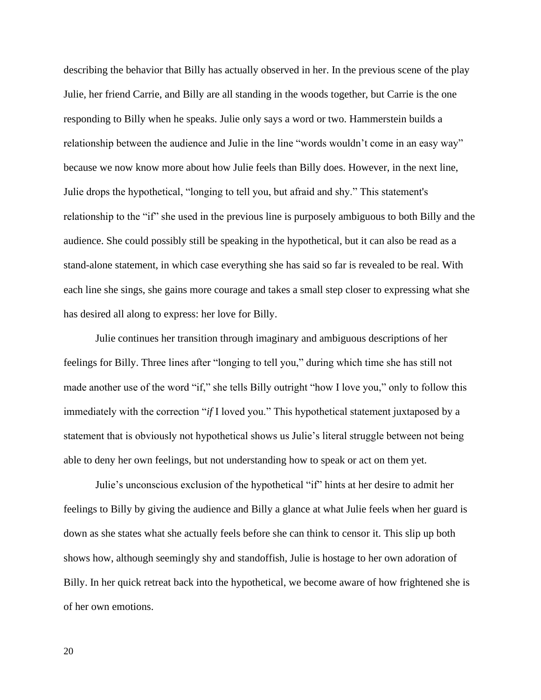describing the behavior that Billy has actually observed in her. In the previous scene of the play Julie, her friend Carrie, and Billy are all standing in the woods together, but Carrie is the one responding to Billy when he speaks. Julie only says a word or two. Hammerstein builds a relationship between the audience and Julie in the line "words wouldn't come in an easy way" because we now know more about how Julie feels than Billy does. However, in the next line, Julie drops the hypothetical, "longing to tell you, but afraid and shy." This statement's relationship to the "if" she used in the previous line is purposely ambiguous to both Billy and the audience. She could possibly still be speaking in the hypothetical, but it can also be read as a stand-alone statement, in which case everything she has said so far is revealed to be real. With each line she sings, she gains more courage and takes a small step closer to expressing what she has desired all along to express: her love for Billy.

Julie continues her transition through imaginary and ambiguous descriptions of her feelings for Billy. Three lines after "longing to tell you," during which time she has still not made another use of the word "if," she tells Billy outright "how I love you," only to follow this immediately with the correction "*if* I loved you." This hypothetical statement juxtaposed by a statement that is obviously not hypothetical shows us Julie's literal struggle between not being able to deny her own feelings, but not understanding how to speak or act on them yet.

Julie's unconscious exclusion of the hypothetical "if" hints at her desire to admit her feelings to Billy by giving the audience and Billy a glance at what Julie feels when her guard is down as she states what she actually feels before she can think to censor it. This slip up both shows how, although seemingly shy and standoffish, Julie is hostage to her own adoration of Billy. In her quick retreat back into the hypothetical, we become aware of how frightened she is of her own emotions.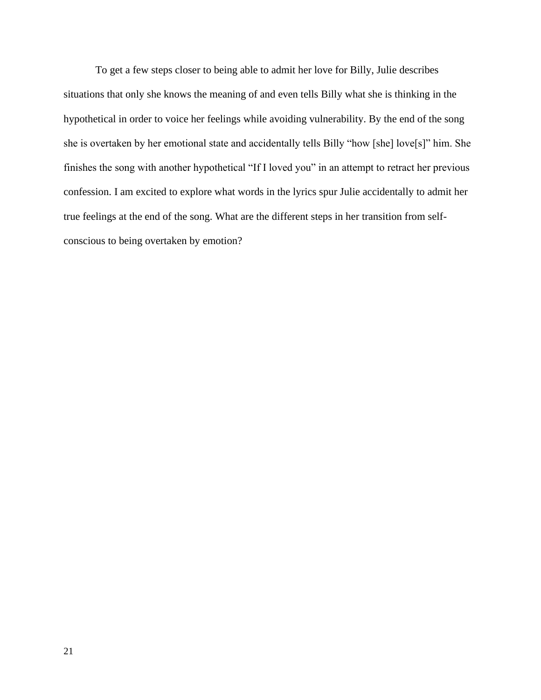To get a few steps closer to being able to admit her love for Billy, Julie describes situations that only she knows the meaning of and even tells Billy what she is thinking in the hypothetical in order to voice her feelings while avoiding vulnerability. By the end of the song she is overtaken by her emotional state and accidentally tells Billy "how [she] love[s]" him. She finishes the song with another hypothetical "If I loved you" in an attempt to retract her previous confession. I am excited to explore what words in the lyrics spur Julie accidentally to admit her true feelings at the end of the song. What are the different steps in her transition from selfconscious to being overtaken by emotion?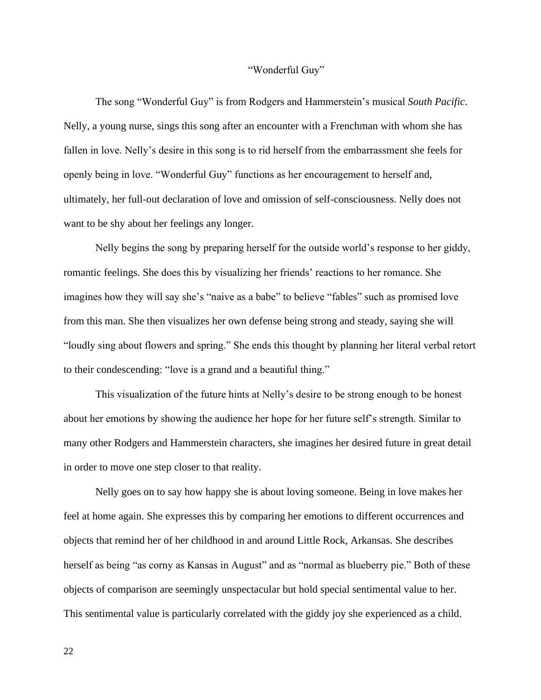#### "Wonderful Guy"

The song "Wonderful Guy" is from Rodgers and Hammerstein's musical *South Pacific*. Nelly, a young nurse, sings this song after an encounter with a Frenchman with whom she has fallen in love. Nelly's desire in this song is to rid herself from the embarrassment she feels for openly being in love. "Wonderful Guy" functions as her encouragement to herself and, ultimately, her full-out declaration of love and omission of self-consciousness. Nelly does not want to be shy about her feelings any longer.

Nelly begins the song by preparing herself for the outside world's response to her giddy, romantic feelings. She does this by visualizing her friends' reactions to her romance. She imagines how they will say she's "naive as a babe" to believe "fables" such as promised love from this man. She then visualizes her own defense being strong and steady, saying she will "loudly sing about flowers and spring." She ends this thought by planning her literal verbal retort to their condescending: "love is a grand and a beautiful thing."

This visualization of the future hints at Nelly's desire to be strong enough to be honest about her emotions by showing the audience her hope for her future self's strength. Similar to many other Rodgers and Hammerstein characters, she imagines her desired future in great detail in order to move one step closer to that reality.

Nelly goes on to say how happy she is about loving someone. Being in love makes her feel at home again. She expresses this by comparing her emotions to different occurrences and objects that remind her of her childhood in and around Little Rock, Arkansas. She describes herself as being "as corny as Kansas in August" and as "normal as blueberry pie." Both of these objects of comparison are seemingly unspectacular but hold special sentimental value to her. This sentimental value is particularly correlated with the giddy joy she experienced as a child.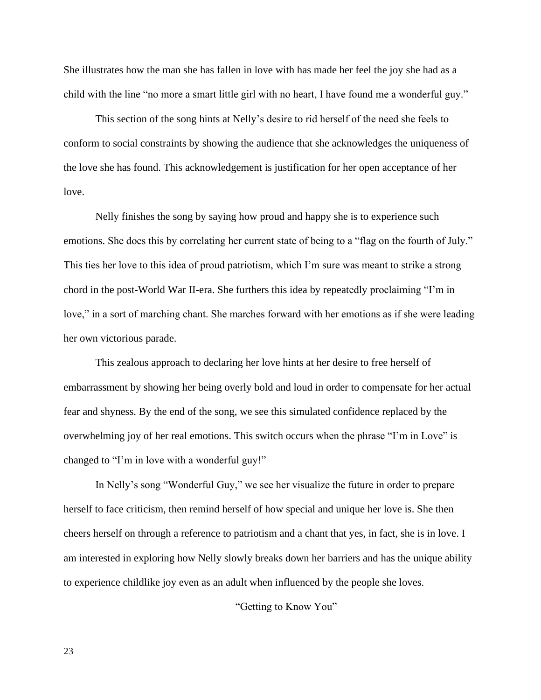She illustrates how the man she has fallen in love with has made her feel the joy she had as a child with the line "no more a smart little girl with no heart, I have found me a wonderful guy."

This section of the song hints at Nelly's desire to rid herself of the need she feels to conform to social constraints by showing the audience that she acknowledges the uniqueness of the love she has found. This acknowledgement is justification for her open acceptance of her love.

Nelly finishes the song by saying how proud and happy she is to experience such emotions. She does this by correlating her current state of being to a "flag on the fourth of July." This ties her love to this idea of proud patriotism, which I'm sure was meant to strike a strong chord in the post-World War II-era. She furthers this idea by repeatedly proclaiming "I'm in love," in a sort of marching chant. She marches forward with her emotions as if she were leading her own victorious parade.

This zealous approach to declaring her love hints at her desire to free herself of embarrassment by showing her being overly bold and loud in order to compensate for her actual fear and shyness. By the end of the song, we see this simulated confidence replaced by the overwhelming joy of her real emotions. This switch occurs when the phrase "I'm in Love" is changed to "I'm in love with a wonderful guy!"

In Nelly's song "Wonderful Guy," we see her visualize the future in order to prepare herself to face criticism, then remind herself of how special and unique her love is. She then cheers herself on through a reference to patriotism and a chant that yes, in fact, she is in love. I am interested in exploring how Nelly slowly breaks down her barriers and has the unique ability to experience childlike joy even as an adult when influenced by the people she loves.

"Getting to Know You"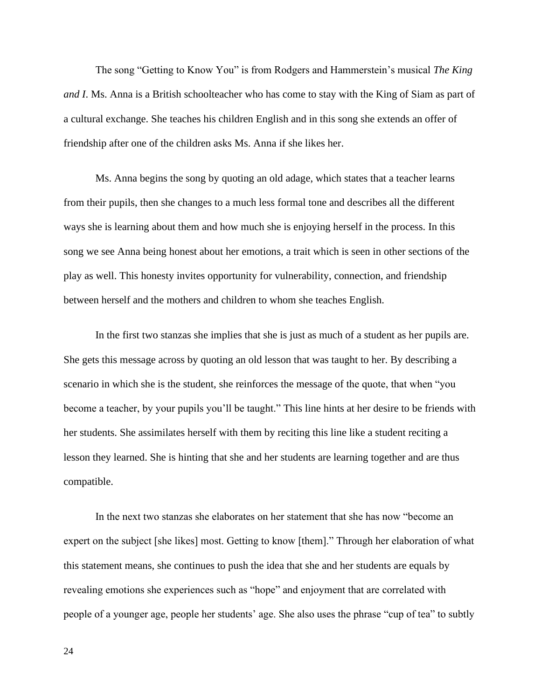The song "Getting to Know You" is from Rodgers and Hammerstein's musical *The King and I*. Ms. Anna is a British schoolteacher who has come to stay with the King of Siam as part of a cultural exchange. She teaches his children English and in this song she extends an offer of friendship after one of the children asks Ms. Anna if she likes her.

Ms. Anna begins the song by quoting an old adage, which states that a teacher learns from their pupils, then she changes to a much less formal tone and describes all the different ways she is learning about them and how much she is enjoying herself in the process. In this song we see Anna being honest about her emotions, a trait which is seen in other sections of the play as well. This honesty invites opportunity for vulnerability, connection, and friendship between herself and the mothers and children to whom she teaches English.

In the first two stanzas she implies that she is just as much of a student as her pupils are. She gets this message across by quoting an old lesson that was taught to her. By describing a scenario in which she is the student, she reinforces the message of the quote, that when "you become a teacher, by your pupils you'll be taught." This line hints at her desire to be friends with her students. She assimilates herself with them by reciting this line like a student reciting a lesson they learned. She is hinting that she and her students are learning together and are thus compatible.

In the next two stanzas she elaborates on her statement that she has now "become an expert on the subject [she likes] most. Getting to know [them]." Through her elaboration of what this statement means, she continues to push the idea that she and her students are equals by revealing emotions she experiences such as "hope" and enjoyment that are correlated with people of a younger age, people her students' age. She also uses the phrase "cup of tea" to subtly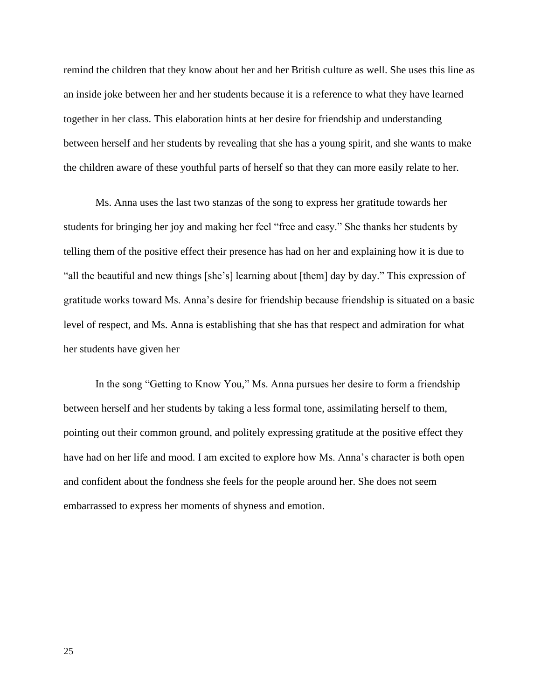remind the children that they know about her and her British culture as well. She uses this line as an inside joke between her and her students because it is a reference to what they have learned together in her class. This elaboration hints at her desire for friendship and understanding between herself and her students by revealing that she has a young spirit, and she wants to make the children aware of these youthful parts of herself so that they can more easily relate to her.

Ms. Anna uses the last two stanzas of the song to express her gratitude towards her students for bringing her joy and making her feel "free and easy." She thanks her students by telling them of the positive effect their presence has had on her and explaining how it is due to "all the beautiful and new things [she's] learning about [them] day by day." This expression of gratitude works toward Ms. Anna's desire for friendship because friendship is situated on a basic level of respect, and Ms. Anna is establishing that she has that respect and admiration for what her students have given her

In the song "Getting to Know You," Ms. Anna pursues her desire to form a friendship between herself and her students by taking a less formal tone, assimilating herself to them, pointing out their common ground, and politely expressing gratitude at the positive effect they have had on her life and mood. I am excited to explore how Ms. Anna's character is both open and confident about the fondness she feels for the people around her. She does not seem embarrassed to express her moments of shyness and emotion.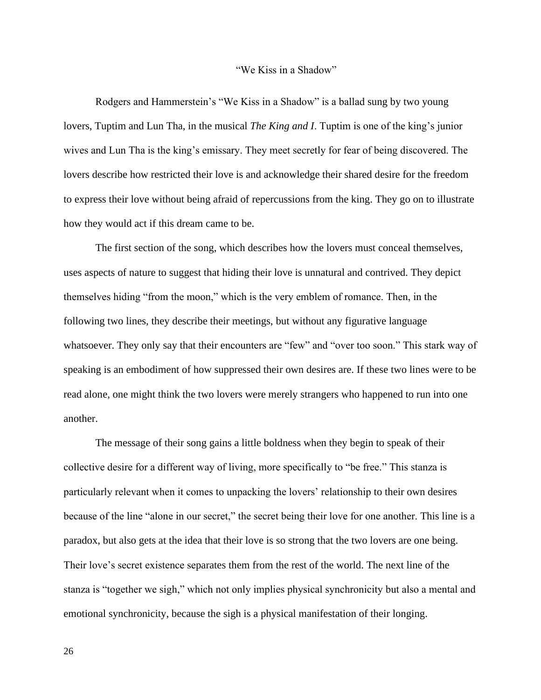#### "We Kiss in a Shadow"

Rodgers and Hammerstein's "We Kiss in a Shadow" is a ballad sung by two young lovers, Tuptim and Lun Tha, in the musical *The King and I*. Tuptim is one of the king's junior wives and Lun Tha is the king's emissary. They meet secretly for fear of being discovered. The lovers describe how restricted their love is and acknowledge their shared desire for the freedom to express their love without being afraid of repercussions from the king. They go on to illustrate how they would act if this dream came to be.

The first section of the song, which describes how the lovers must conceal themselves, uses aspects of nature to suggest that hiding their love is unnatural and contrived. They depict themselves hiding "from the moon," which is the very emblem of romance. Then, in the following two lines, they describe their meetings, but without any figurative language whatsoever. They only say that their encounters are "few" and "over too soon." This stark way of speaking is an embodiment of how suppressed their own desires are. If these two lines were to be read alone, one might think the two lovers were merely strangers who happened to run into one another.

The message of their song gains a little boldness when they begin to speak of their collective desire for a different way of living, more specifically to "be free." This stanza is particularly relevant when it comes to unpacking the lovers' relationship to their own desires because of the line "alone in our secret," the secret being their love for one another. This line is a paradox, but also gets at the idea that their love is so strong that the two lovers are one being. Their love's secret existence separates them from the rest of the world. The next line of the stanza is "together we sigh," which not only implies physical synchronicity but also a mental and emotional synchronicity, because the sigh is a physical manifestation of their longing.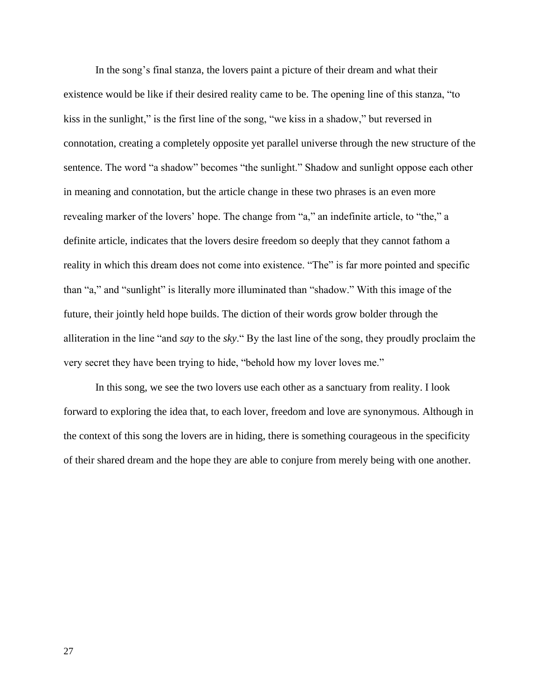In the song's final stanza, the lovers paint a picture of their dream and what their existence would be like if their desired reality came to be. The opening line of this stanza, "to kiss in the sunlight," is the first line of the song, "we kiss in a shadow," but reversed in connotation, creating a completely opposite yet parallel universe through the new structure of the sentence. The word "a shadow" becomes "the sunlight." Shadow and sunlight oppose each other in meaning and connotation, but the article change in these two phrases is an even more revealing marker of the lovers' hope. The change from "a," an indefinite article, to "the," a definite article, indicates that the lovers desire freedom so deeply that they cannot fathom a reality in which this dream does not come into existence. "The" is far more pointed and specific than "a," and "sunlight" is literally more illuminated than "shadow." With this image of the future, their jointly held hope builds. The diction of their words grow bolder through the alliteration in the line "and *say* to the *sky*." By the last line of the song, they proudly proclaim the very secret they have been trying to hide, "behold how my lover loves me."

In this song, we see the two lovers use each other as a sanctuary from reality. I look forward to exploring the idea that, to each lover, freedom and love are synonymous. Although in the context of this song the lovers are in hiding, there is something courageous in the specificity of their shared dream and the hope they are able to conjure from merely being with one another.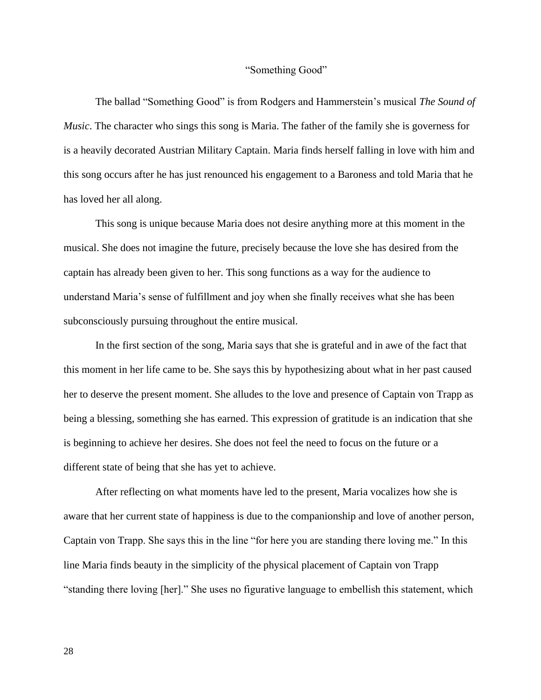#### "Something Good"

The ballad "Something Good" is from Rodgers and Hammerstein's musical *The Sound of Music*. The character who sings this song is Maria. The father of the family she is governess for is a heavily decorated Austrian Military Captain. Maria finds herself falling in love with him and this song occurs after he has just renounced his engagement to a Baroness and told Maria that he has loved her all along.

This song is unique because Maria does not desire anything more at this moment in the musical. She does not imagine the future, precisely because the love she has desired from the captain has already been given to her. This song functions as a way for the audience to understand Maria's sense of fulfillment and joy when she finally receives what she has been subconsciously pursuing throughout the entire musical.

In the first section of the song, Maria says that she is grateful and in awe of the fact that this moment in her life came to be. She says this by hypothesizing about what in her past caused her to deserve the present moment. She alludes to the love and presence of Captain von Trapp as being a blessing, something she has earned. This expression of gratitude is an indication that she is beginning to achieve her desires. She does not feel the need to focus on the future or a different state of being that she has yet to achieve.

After reflecting on what moments have led to the present, Maria vocalizes how she is aware that her current state of happiness is due to the companionship and love of another person, Captain von Trapp. She says this in the line "for here you are standing there loving me." In this line Maria finds beauty in the simplicity of the physical placement of Captain von Trapp "standing there loving [her]." She uses no figurative language to embellish this statement, which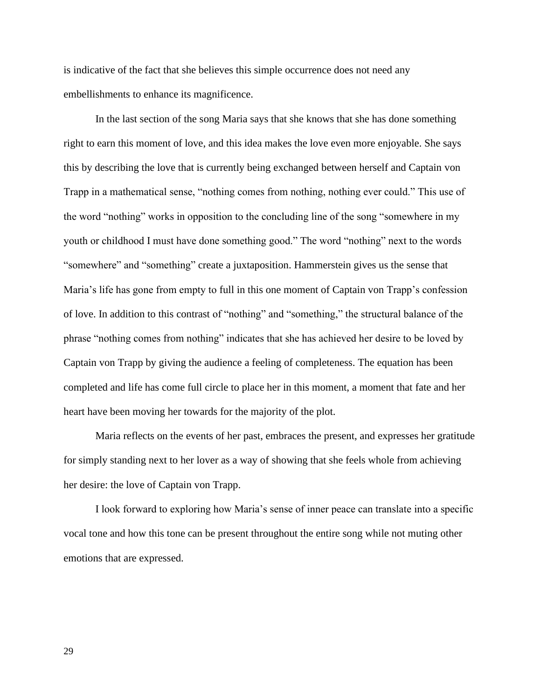is indicative of the fact that she believes this simple occurrence does not need any embellishments to enhance its magnificence.

In the last section of the song Maria says that she knows that she has done something right to earn this moment of love, and this idea makes the love even more enjoyable. She says this by describing the love that is currently being exchanged between herself and Captain von Trapp in a mathematical sense, "nothing comes from nothing, nothing ever could." This use of the word "nothing" works in opposition to the concluding line of the song "somewhere in my youth or childhood I must have done something good." The word "nothing" next to the words "somewhere" and "something" create a juxtaposition. Hammerstein gives us the sense that Maria's life has gone from empty to full in this one moment of Captain von Trapp's confession of love. In addition to this contrast of "nothing" and "something," the structural balance of the phrase "nothing comes from nothing" indicates that she has achieved her desire to be loved by Captain von Trapp by giving the audience a feeling of completeness. The equation has been completed and life has come full circle to place her in this moment, a moment that fate and her heart have been moving her towards for the majority of the plot.

Maria reflects on the events of her past, embraces the present, and expresses her gratitude for simply standing next to her lover as a way of showing that she feels whole from achieving her desire: the love of Captain von Trapp.

I look forward to exploring how Maria's sense of inner peace can translate into a specific vocal tone and how this tone can be present throughout the entire song while not muting other emotions that are expressed.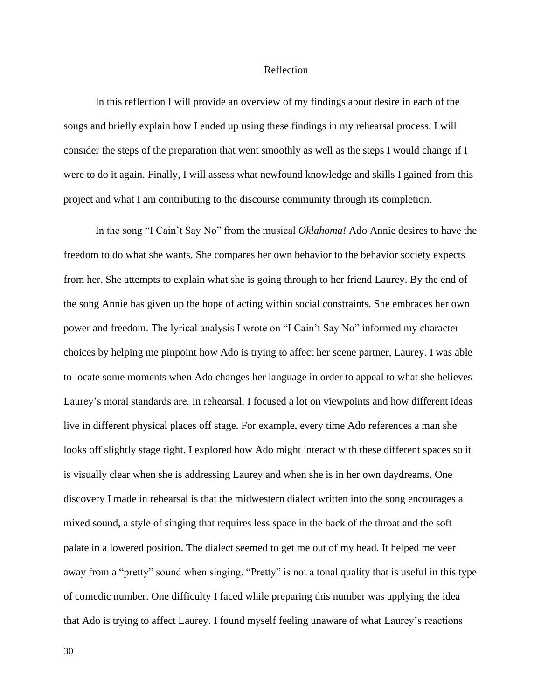#### Reflection

In this reflection I will provide an overview of my findings about desire in each of the songs and briefly explain how I ended up using these findings in my rehearsal process. I will consider the steps of the preparation that went smoothly as well as the steps I would change if I were to do it again. Finally, I will assess what newfound knowledge and skills I gained from this project and what I am contributing to the discourse community through its completion.

In the song "I Cain't Say No" from the musical *Oklahoma!* Ado Annie desires to have the freedom to do what she wants. She compares her own behavior to the behavior society expects from her. She attempts to explain what she is going through to her friend Laurey. By the end of the song Annie has given up the hope of acting within social constraints. She embraces her own power and freedom. The lyrical analysis I wrote on "I Cain't Say No" informed my character choices by helping me pinpoint how Ado is trying to affect her scene partner, Laurey. I was able to locate some moments when Ado changes her language in order to appeal to what she believes Laurey's moral standards are. In rehearsal, I focused a lot on viewpoints and how different ideas live in different physical places off stage. For example, every time Ado references a man she looks off slightly stage right. I explored how Ado might interact with these different spaces so it is visually clear when she is addressing Laurey and when she is in her own daydreams. One discovery I made in rehearsal is that the midwestern dialect written into the song encourages a mixed sound, a style of singing that requires less space in the back of the throat and the soft palate in a lowered position. The dialect seemed to get me out of my head. It helped me veer away from a "pretty" sound when singing. "Pretty" is not a tonal quality that is useful in this type of comedic number. One difficulty I faced while preparing this number was applying the idea that Ado is trying to affect Laurey. I found myself feeling unaware of what Laurey's reactions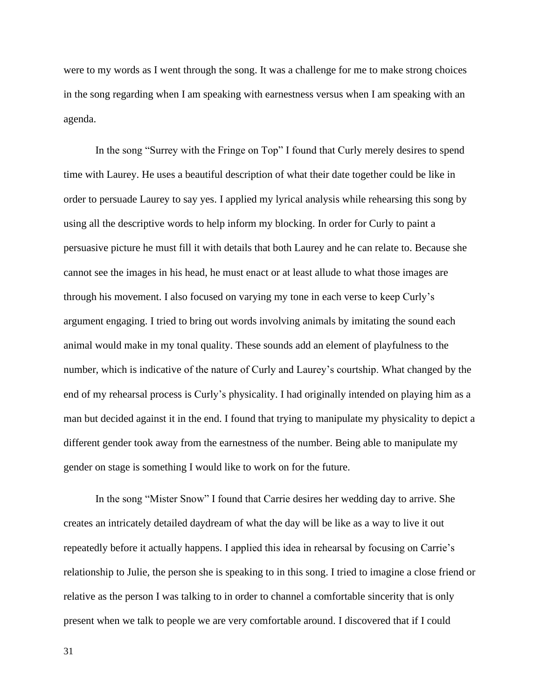were to my words as I went through the song. It was a challenge for me to make strong choices in the song regarding when I am speaking with earnestness versus when I am speaking with an agenda.

In the song "Surrey with the Fringe on Top" I found that Curly merely desires to spend time with Laurey. He uses a beautiful description of what their date together could be like in order to persuade Laurey to say yes. I applied my lyrical analysis while rehearsing this song by using all the descriptive words to help inform my blocking. In order for Curly to paint a persuasive picture he must fill it with details that both Laurey and he can relate to. Because she cannot see the images in his head, he must enact or at least allude to what those images are through his movement. I also focused on varying my tone in each verse to keep Curly's argument engaging. I tried to bring out words involving animals by imitating the sound each animal would make in my tonal quality. These sounds add an element of playfulness to the number, which is indicative of the nature of Curly and Laurey's courtship. What changed by the end of my rehearsal process is Curly's physicality. I had originally intended on playing him as a man but decided against it in the end. I found that trying to manipulate my physicality to depict a different gender took away from the earnestness of the number. Being able to manipulate my gender on stage is something I would like to work on for the future.

In the song "Mister Snow" I found that Carrie desires her wedding day to arrive. She creates an intricately detailed daydream of what the day will be like as a way to live it out repeatedly before it actually happens. I applied this idea in rehearsal by focusing on Carrie's relationship to Julie, the person she is speaking to in this song. I tried to imagine a close friend or relative as the person I was talking to in order to channel a comfortable sincerity that is only present when we talk to people we are very comfortable around. I discovered that if I could

31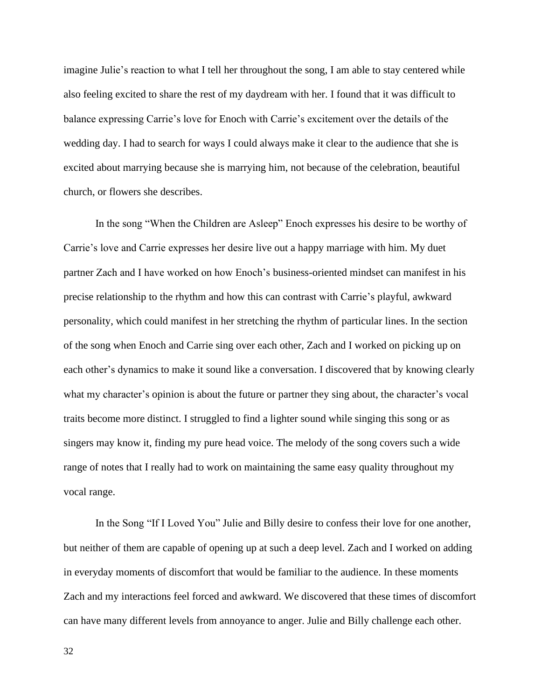imagine Julie's reaction to what I tell her throughout the song, I am able to stay centered while also feeling excited to share the rest of my daydream with her. I found that it was difficult to balance expressing Carrie's love for Enoch with Carrie's excitement over the details of the wedding day. I had to search for ways I could always make it clear to the audience that she is excited about marrying because she is marrying him, not because of the celebration, beautiful church, or flowers she describes.

In the song "When the Children are Asleep" Enoch expresses his desire to be worthy of Carrie's love and Carrie expresses her desire live out a happy marriage with him. My duet partner Zach and I have worked on how Enoch's business-oriented mindset can manifest in his precise relationship to the rhythm and how this can contrast with Carrie's playful, awkward personality, which could manifest in her stretching the rhythm of particular lines. In the section of the song when Enoch and Carrie sing over each other, Zach and I worked on picking up on each other's dynamics to make it sound like a conversation. I discovered that by knowing clearly what my character's opinion is about the future or partner they sing about, the character's vocal traits become more distinct. I struggled to find a lighter sound while singing this song or as singers may know it, finding my pure head voice. The melody of the song covers such a wide range of notes that I really had to work on maintaining the same easy quality throughout my vocal range.

In the Song "If I Loved You" Julie and Billy desire to confess their love for one another, but neither of them are capable of opening up at such a deep level. Zach and I worked on adding in everyday moments of discomfort that would be familiar to the audience. In these moments Zach and my interactions feel forced and awkward. We discovered that these times of discomfort can have many different levels from annoyance to anger. Julie and Billy challenge each other.

32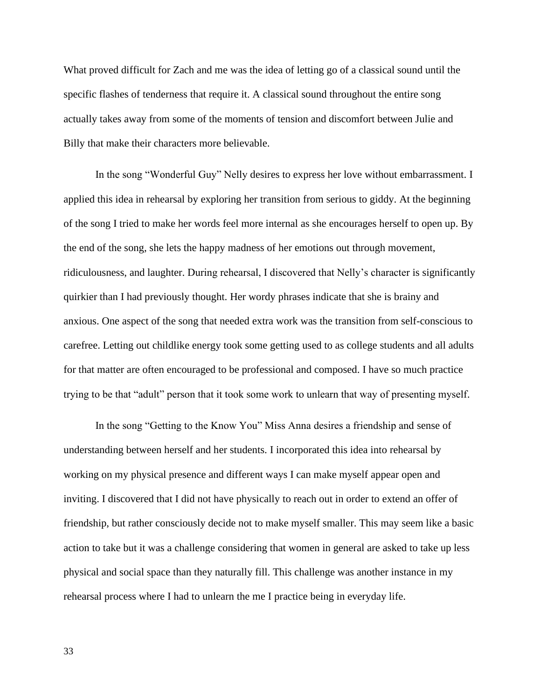What proved difficult for Zach and me was the idea of letting go of a classical sound until the specific flashes of tenderness that require it. A classical sound throughout the entire song actually takes away from some of the moments of tension and discomfort between Julie and Billy that make their characters more believable.

In the song "Wonderful Guy" Nelly desires to express her love without embarrassment. I applied this idea in rehearsal by exploring her transition from serious to giddy. At the beginning of the song I tried to make her words feel more internal as she encourages herself to open up. By the end of the song, she lets the happy madness of her emotions out through movement, ridiculousness, and laughter. During rehearsal, I discovered that Nelly's character is significantly quirkier than I had previously thought. Her wordy phrases indicate that she is brainy and anxious. One aspect of the song that needed extra work was the transition from self-conscious to carefree. Letting out childlike energy took some getting used to as college students and all adults for that matter are often encouraged to be professional and composed. I have so much practice trying to be that "adult" person that it took some work to unlearn that way of presenting myself.

In the song "Getting to the Know You" Miss Anna desires a friendship and sense of understanding between herself and her students. I incorporated this idea into rehearsal by working on my physical presence and different ways I can make myself appear open and inviting. I discovered that I did not have physically to reach out in order to extend an offer of friendship, but rather consciously decide not to make myself smaller. This may seem like a basic action to take but it was a challenge considering that women in general are asked to take up less physical and social space than they naturally fill. This challenge was another instance in my rehearsal process where I had to unlearn the me I practice being in everyday life.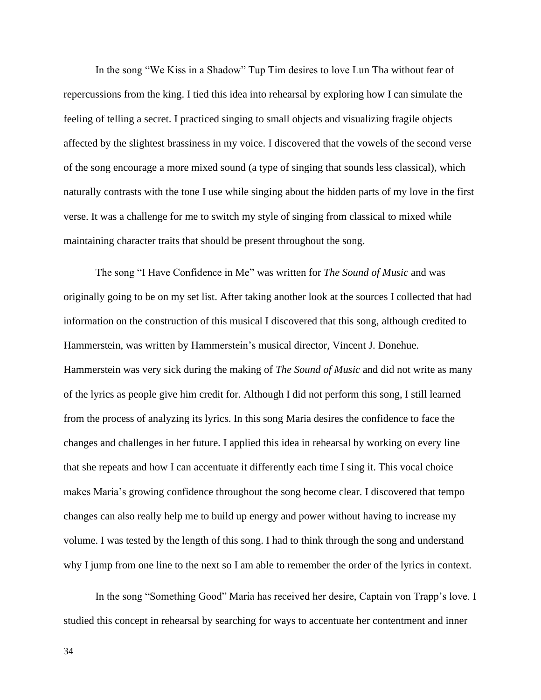In the song "We Kiss in a Shadow" Tup Tim desires to love Lun Tha without fear of repercussions from the king. I tied this idea into rehearsal by exploring how I can simulate the feeling of telling a secret. I practiced singing to small objects and visualizing fragile objects affected by the slightest brassiness in my voice. I discovered that the vowels of the second verse of the song encourage a more mixed sound (a type of singing that sounds less classical), which naturally contrasts with the tone I use while singing about the hidden parts of my love in the first verse. It was a challenge for me to switch my style of singing from classical to mixed while maintaining character traits that should be present throughout the song.

The song "I Have Confidence in Me" was written for *The Sound of Music* and was originally going to be on my set list. After taking another look at the sources I collected that had information on the construction of this musical I discovered that this song, although credited to Hammerstein, was written by Hammerstein's musical director, Vincent J. Donehue. Hammerstein was very sick during the making of *The Sound of Music* and did not write as many of the lyrics as people give him credit for. Although I did not perform this song, I still learned from the process of analyzing its lyrics. In this song Maria desires the confidence to face the changes and challenges in her future. I applied this idea in rehearsal by working on every line that she repeats and how I can accentuate it differently each time I sing it. This vocal choice makes Maria's growing confidence throughout the song become clear. I discovered that tempo changes can also really help me to build up energy and power without having to increase my volume. I was tested by the length of this song. I had to think through the song and understand why I jump from one line to the next so I am able to remember the order of the lyrics in context.

In the song "Something Good" Maria has received her desire, Captain von Trapp's love. I studied this concept in rehearsal by searching for ways to accentuate her contentment and inner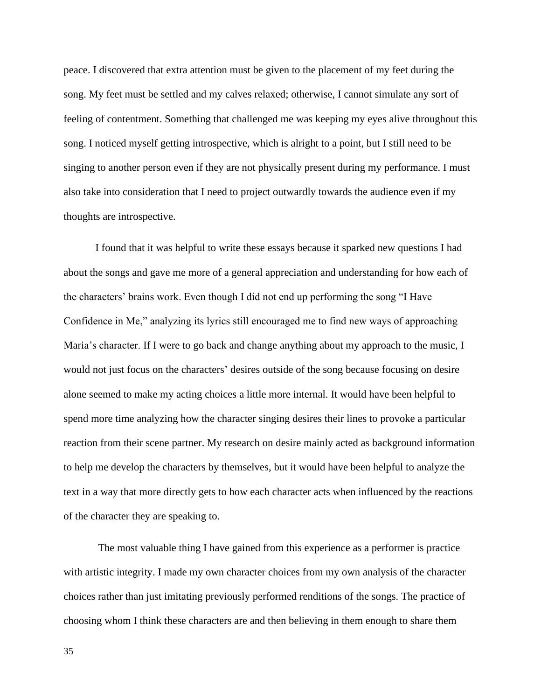peace. I discovered that extra attention must be given to the placement of my feet during the song. My feet must be settled and my calves relaxed; otherwise, I cannot simulate any sort of feeling of contentment. Something that challenged me was keeping my eyes alive throughout this song. I noticed myself getting introspective, which is alright to a point, but I still need to be singing to another person even if they are not physically present during my performance. I must also take into consideration that I need to project outwardly towards the audience even if my thoughts are introspective.

I found that it was helpful to write these essays because it sparked new questions I had about the songs and gave me more of a general appreciation and understanding for how each of the characters' brains work. Even though I did not end up performing the song "I Have Confidence in Me," analyzing its lyrics still encouraged me to find new ways of approaching Maria's character. If I were to go back and change anything about my approach to the music, I would not just focus on the characters' desires outside of the song because focusing on desire alone seemed to make my acting choices a little more internal. It would have been helpful to spend more time analyzing how the character singing desires their lines to provoke a particular reaction from their scene partner. My research on desire mainly acted as background information to help me develop the characters by themselves, but it would have been helpful to analyze the text in a way that more directly gets to how each character acts when influenced by the reactions of the character they are speaking to.

The most valuable thing I have gained from this experience as a performer is practice with artistic integrity. I made my own character choices from my own analysis of the character choices rather than just imitating previously performed renditions of the songs. The practice of choosing whom I think these characters are and then believing in them enough to share them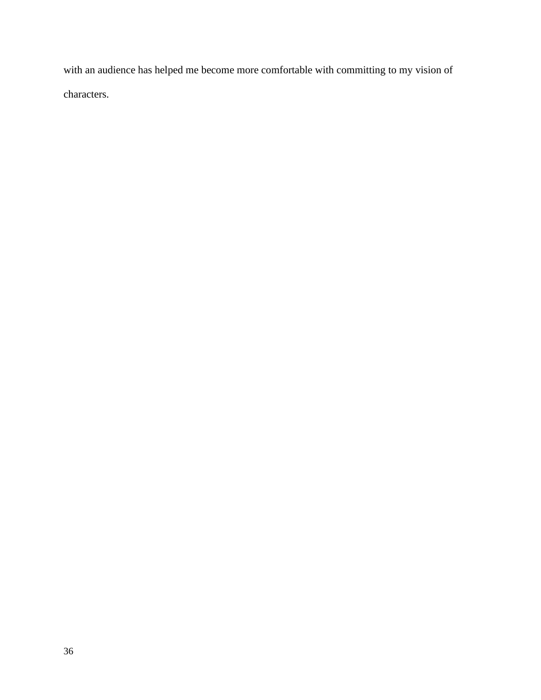with an audience has helped me become more comfortable with committing to my vision of characters.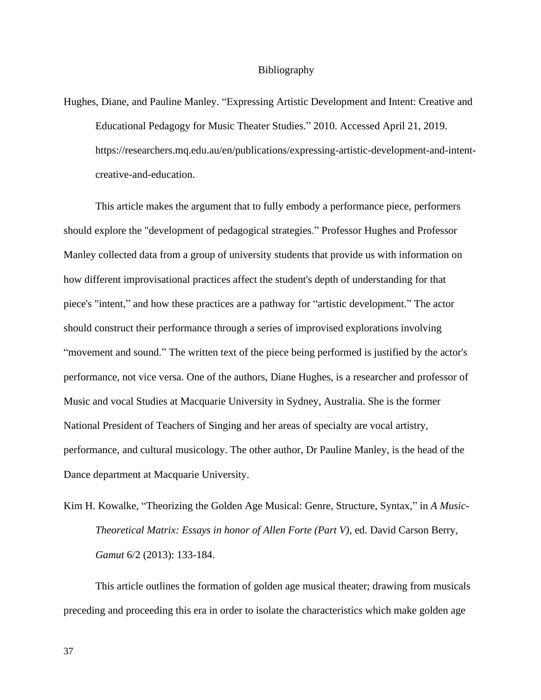#### Bibliography

Hughes, Diane, and Pauline Manley. "Expressing Artistic Development and Intent: Creative and Educational Pedagogy for Music Theater Studies." 2010. Accessed April 21, 2019. https://researchers.mq.edu.au/en/publications/expressing-artistic-development-and-intentcreative-and-education.

This article makes the argument that to fully embody a performance piece, performers should explore the "development of pedagogical strategies." Professor Hughes and Professor Manley collected data from a group of university students that provide us with information on how different improvisational practices affect the student's depth of understanding for that piece's "intent," and how these practices are a pathway for "artistic development." The actor should construct their performance through a series of improvised explorations involving "movement and sound." The written text of the piece being performed is justified by the actor's performance, not vice versa. One of the authors, Diane Hughes, is a researcher and professor of Music and vocal Studies at Macquarie University in Sydney, Australia. She is the former National President of Teachers of Singing and her areas of specialty are vocal artistry, performance, and cultural musicology. The other author, Dr Pauline Manley, is the head of the Dance department at Macquarie University.

Kim H. Kowalke, "Theorizing the Golden Age Musical: Genre, Structure, Syntax," in *A Music-Theoretical Matrix: Essays in honor of Allen Forte (Part V),* ed. David Carson Berry, *Gamut* 6/2 (2013): 133-184.

This article outlines the formation of golden age musical theater; drawing from musicals preceding and proceeding this era in order to isolate the characteristics which make golden age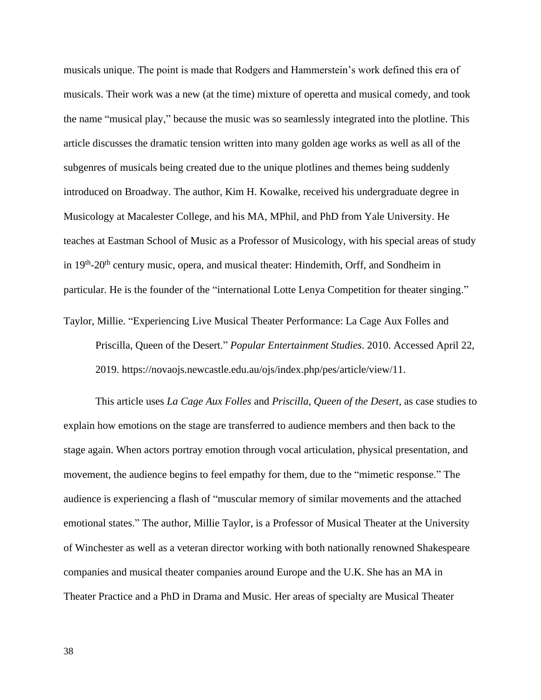musicals unique. The point is made that Rodgers and Hammerstein's work defined this era of musicals. Their work was a new (at the time) mixture of operetta and musical comedy, and took the name "musical play," because the music was so seamlessly integrated into the plotline. This article discusses the dramatic tension written into many golden age works as well as all of the subgenres of musicals being created due to the unique plotlines and themes being suddenly introduced on Broadway. The author, Kim H. Kowalke, received his undergraduate degree in Musicology at Macalester College, and his MA, MPhil, and PhD from Yale University. He teaches at Eastman School of Music as a Professor of Musicology, with his special areas of study in 19<sup>th</sup>-20<sup>th</sup> century music, opera, and musical theater: Hindemith, Orff, and Sondheim in particular. He is the founder of the "international Lotte Lenya Competition for theater singing."

Taylor, Millie. "Experiencing Live Musical Theater Performance: La Cage Aux Folles and Priscilla, Queen of the Desert." *Popular Entertainment Studies*. 2010. Accessed April 22, 2019. https://novaojs.newcastle.edu.au/ojs/index.php/pes/article/view/11.

This article uses *La Cage Aux Folles* and *Priscilla, Queen of the Desert*, as case studies to explain how emotions on the stage are transferred to audience members and then back to the stage again. When actors portray emotion through vocal articulation, physical presentation, and movement, the audience begins to feel empathy for them, due to the "mimetic response." The audience is experiencing a flash of "muscular memory of similar movements and the attached emotional states." The author, Millie Taylor, is a Professor of Musical Theater at the University of Winchester as well as a veteran director working with both nationally renowned Shakespeare companies and musical theater companies around Europe and the U.K. She has an MA in Theater Practice and a PhD in Drama and Music. Her areas of specialty are Musical Theater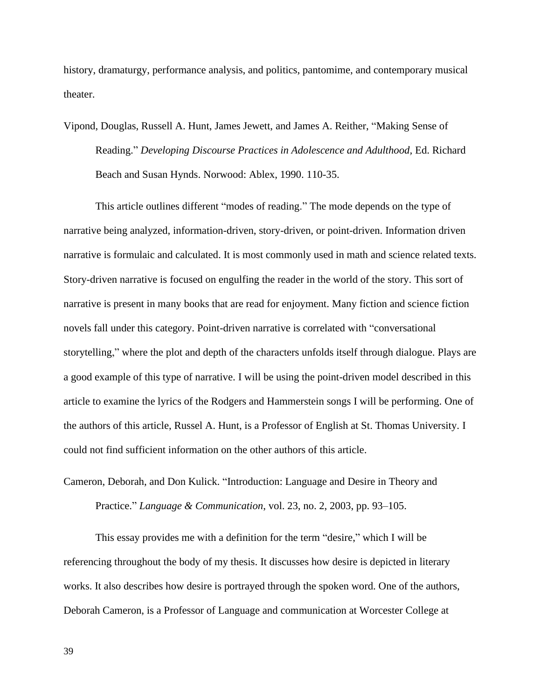history, dramaturgy, performance analysis, and politics, pantomime, and contemporary musical theater.

Vipond, Douglas, Russell A. Hunt, James Jewett, and James A. Reither, "Making Sense of Reading." *Developing Discourse Practices in Adolescence and Adulthood,* Ed. Richard Beach and Susan Hynds. Norwood: Ablex, 1990. 110-35.

This article outlines different "modes of reading." The mode depends on the type of narrative being analyzed, information-driven, story-driven, or point-driven. Information driven narrative is formulaic and calculated. It is most commonly used in math and science related texts. Story-driven narrative is focused on engulfing the reader in the world of the story. This sort of narrative is present in many books that are read for enjoyment. Many fiction and science fiction novels fall under this category. Point-driven narrative is correlated with "conversational storytelling," where the plot and depth of the characters unfolds itself through dialogue. Plays are a good example of this type of narrative. I will be using the point-driven model described in this article to examine the lyrics of the Rodgers and Hammerstein songs I will be performing. One of the authors of this article, Russel A. Hunt, is a Professor of English at St. Thomas University. I could not find sufficient information on the other authors of this article.

Cameron, Deborah, and Don Kulick. "Introduction: Language and Desire in Theory and Practice." *Language & Communication*, vol. 23, no. 2, 2003, pp. 93–105.

This essay provides me with a definition for the term "desire," which I will be referencing throughout the body of my thesis. It discusses how desire is depicted in literary works. It also describes how desire is portrayed through the spoken word. One of the authors, Deborah Cameron, is a Professor of Language and communication at Worcester College at